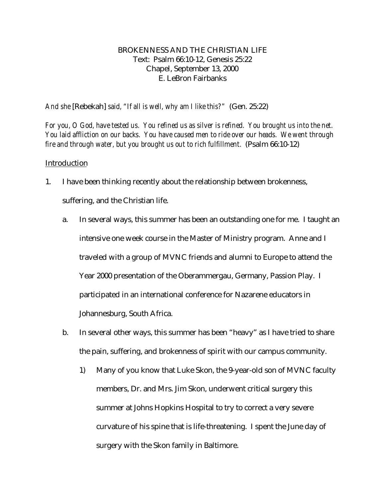# BROKENNESS AND THE CHRISTIAN LIFE Text: Psalm 66:10-12, Genesis 25:22 Chapel, September 13, 2000 E. LeBron Fairbanks

*And she* [Rebekah] *said, "If all is well, why am I like this?"* (Gen. 25:22)

*For you, O God, have tested us. You refined us as silver is refined. You brought us into the net. You laid affliction on our backs. You have caused men to ride over our heads. We went through fire and through water, but you brought us out to rich fulfillment.* (Psalm 66:10-12)

## Introduction

- 1. I have been thinking recently about the relationship between brokenness, suffering, and the Christian life.
	- a. In several ways, this summer has been an outstanding one for me. I taught an intensive one week course in the Master of Ministry program. Anne and I traveled with a group of MVNC friends and alumni to Europe to attend the Year 2000 presentation of the Oberammergau, Germany, Passion Play. I participated in an international conference for Nazarene educators in Johannesburg, South Africa.
	- b. In several other ways, this summer has been "heavy" as I have tried to share the pain, suffering, and brokenness of spirit with our campus community.
		- 1) Many of you know that Luke Skon, the 9-year-old son of MVNC faculty members, Dr. and Mrs. Jim Skon, underwent critical surgery this summer at Johns Hopkins Hospital to try to correct a very severe curvature of his spine that is life-threatening. I spent the June day of surgery with the Skon family in Baltimore.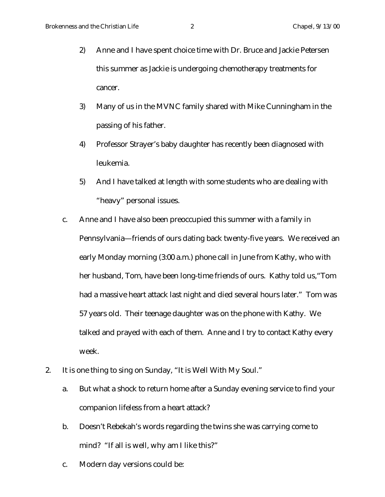- 2) Anne and I have spent choice time with Dr. Bruce and Jackie Petersen this summer as Jackie is undergoing chemotherapy treatments for cancer.
- 3) Many of us in the MVNC family shared with Mike Cunningham in the passing of his father.
- 4) Professor Strayer's baby daughter has recently been diagnosed with leukemia.
- 5) And I have talked at length with some students who are dealing with "heavy" personal issues.
- c. Anne and I have also been preoccupied this summer with a family in Pennsylvania—friends of ours dating back twenty-five years. We received an early Monday morning (3:00 a.m.) phone call in June from Kathy, who with her husband, Tom, have been long-time friends of ours. Kathy told us,"Tom had a massive heart attack last night and died several hours later." Tom was 57 years old. Their teenage daughter was on the phone with Kathy. We talked and prayed with each of them. Anne and I try to contact Kathy every week.
- 2. It is one thing to sing on Sunday, "It is Well With My Soul."
	- a. But what a shock to return home after a Sunday evening service to find your companion lifeless from a heart attack?
	- b. Doesn't Rebekah's words regarding the twins she was carrying come to mind? "If all is well, why am I like this?"
	- c. Modern day versions could be: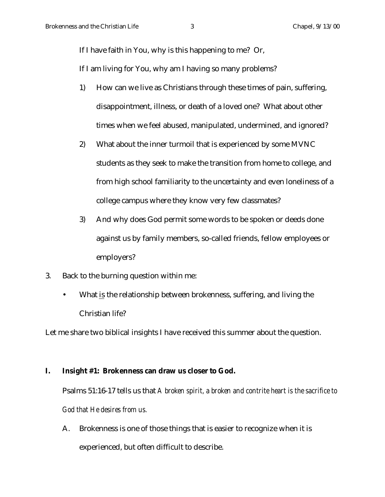If I have faith in You, why is this happening to me? Or,

If I am living for You, why am I having so many problems?

- 1) How can we live as Christians through these times of pain, suffering, disappointment, illness, or death of a loved one? What about other times when we feel abused, manipulated, undermined, and ignored?
- 2) What about the inner turmoil that is experienced by some MVNC students as they seek to make the transition from home to college, and from high school familiarity to the uncertainty and even loneliness of a college campus where they know very few classmates?
- 3) And why does God permit some words to be spoken or deeds done against us by family members, so-called friends, fellow employees or employers?
- 3. Back to the burning question within me:
	- What is the relationship between brokenness, suffering, and living the Christian life?

Let me share two biblical insights I have received this summer about the question.

#### **I. Insight #1: Brokenness can draw us closer to God.**

Psalms 51:16-17 tells us that *A broken spirit, a broken and contrite heart is the sacrifice to God that He desires from us.*

A. Brokenness is one of those things that is easier to recognize when it is experienced, but often difficult to describe.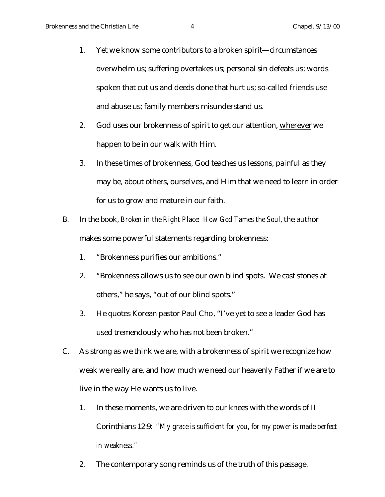- 1. Yet we know some contributors to a broken spirit—circumstances overwhelm us; suffering overtakes us; personal sin defeats us; words spoken that cut us and deeds done that hurt us; so-called friends use and abuse us; family members misunderstand us.
- 2. God uses our brokenness of spirit to get our attention, wherever we happen to be in our walk with Him.
- 3. In these times of brokenness, God teaches us lessons, painful as they may be, about others, ourselves, and Him that we need to learn in order for us to grow and mature in our faith.
- B. In the book, *Broken in the Right Place: How God Tames the Soul*, the author makes some powerful statements regarding brokenness:
	- 1. "Brokenness purifies our ambitions."
	- 2. "Brokenness allows us to see our own blind spots. We cast stones at others," he says, "out of our blind spots."
	- 3. He quotes Korean pastor Paul Cho, "I've yet to see a leader God has used tremendously who has not been broken."
- C. As strong as we think we are, with a brokenness of spirit we recognize how weak we really are, and how much we need our heavenly Father if we are to live in the way He wants us to live.
	- 1. In these moments, we are driven to our knees with the words of II Corinthians 12:9: *"My grace is sufficient for you, for my power is made perfect in weakness."*
	- 2. The contemporary song reminds us of the truth of this passage.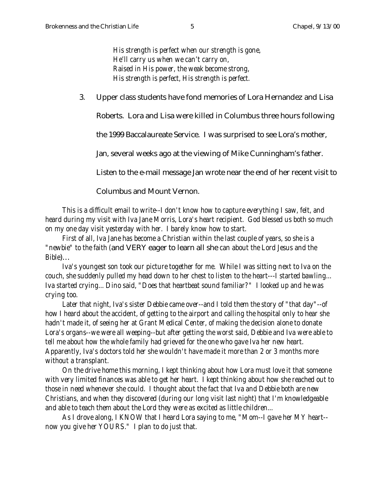*His strength is perfect when our strength is gone, He'll carry us when we can't carry on, Raised in His power, the weak become strong, His strength is perfect, His strength is perfect.*

3. Upper class students have fond memories of Lora Hernandez and Lisa

Roberts. Lora and Lisa were killed in Columbus three hours following

the 1999 Baccalaureate Service. I was surprised to see Lora's mother,

Jan, several weeks ago at the viewing of Mike Cunningham's father.

Listen to the e-mail message Jan wrote near the end of her recent visit to

Columbus and Mount Vernon.

*This is a difficult email to write--I don't know how to capture everything I saw, felt, and heard during my visit with Iva Jane Morris, Lora's heart recipient. God blessed us both so much on my one day visit yesterday with her. I barely know how to start.*

*First of all, Iva Jane has become a Christian within the last couple of years, so she is a "newbie" to the faith (*and VERY eager to learn all she *can about the Lord Jesus and the Bible*)…

*Iva's youngest son took our picture together for me. While I was sitting next to Iva on the couch, she suddenly pulled my head down to her chest to listen to the heart---I started bawling... Iva started crying... Dino said, "Does that heartbeat sound familiar?" I looked up and he was crying too.*

*Later that night, Iva's sister Debbie came over--and I told them the story of "that day"--of how I heard about the accident, of getting to the airport and calling the hospital only to hear she hadn't made it, of seeing her at Grant Medical Center, of making the decision alone to donate Lora's organs--we were all weeping--but after getting the worst said, Debbie and Iva were able to tell me about how the whole family had grieved for the one who gave Iva her new heart. Apparently, Iva's doctors told her she wouldn't have made it more than 2 or 3 months more without a transplant.*

*On the drive home this morning, I kept thinking about how Lora must love it that someone with very limited finances was able to get her heart. I kept thinking about how she reached out to those in need whenever she could. I thought about the fact that Iva and Debbie both are new Christians, and when they discovered (during our long visit last night) that I'm knowledgeable and able to teach them about the Lord they were as excited as little children...*

*As I drove along, I KNOW that I heard Lora saying to me, "Mom--I gave her MY heart- now you give her YOURS." I plan to do just that.*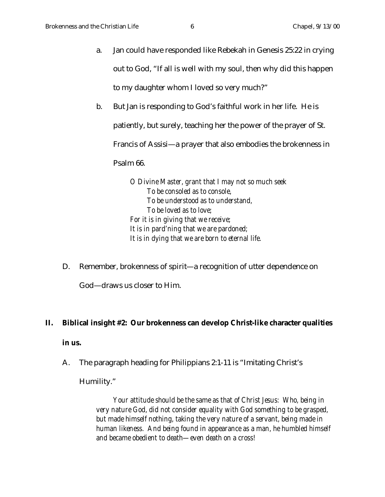- a. Jan could have responded like Rebekah in Genesis 25:22 in crying out to God, "If all is well with my soul, then why did this happen to my daughter whom I loved so very much?"
- b. But Jan is responding to God's faithful work in her life. He is patiently, but surely, teaching her the power of the prayer of St. Francis of Assisi—a prayer that also embodies the brokenness in Psalm 66.

*O Divine Master, grant that I may not so much seek To be consoled as to console, To be understood as to understand, To be loved as to love; For it is in giving that we receive; It is in pard'ning that we are pardoned; It is in dying that we are born to eternal life.*

D. Remember, brokenness of spirit—a recognition of utter dependence on

God—draws us closer to Him.

### **II. Biblical insight #2: Our brokenness can develop Christ-like character qualities**

### **in us.**

A. The paragraph heading for Philippians 2:1-11 is "Imitating Christ's

Humility."

*Your attitude should be the same as that of Christ Jesus: Who, being in very nature God, did not consider equality with God something to be grasped, but made himself nothing, taking the very nature of a servant, being made in human likeness. And being found in appearance as a man, he humbled himself and became obedient to death—even death on a cross!*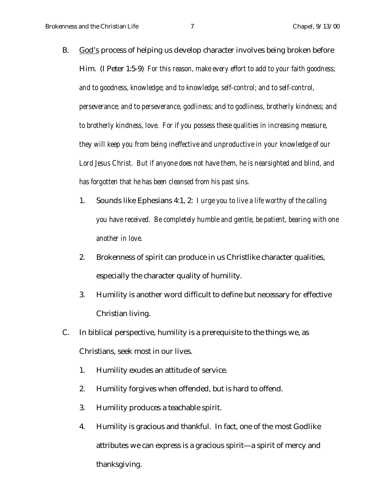- B. God's process of helping us develop character involves being broken before Him. (I Peter 1:5-9) *For this reason, make every effort to add to your faith goodness; and to goodness, knowledge; and to knowledge, self-control; and to self-control, perseverance; and to perseverance, godliness; and to godliness, brotherly kindness; and to brotherly kindness, love. For if you possess these qualities in increasing measure, they will keep you from being ineffective and unproductive in your knowledge of our Lord Jesus Christ. But if anyone does not have them, he is nearsighted and blind, and has forgotten that he has been cleansed from his past sins.*
	- 1. Sounds like Ephesians 4:1, 2: *I urge you to live a life worthy of the calling you have received. Be completely humble and gentle, be patient, bearing with one another in love.*
	- 2. Brokenness of spirit can produce in us Christlike character qualities, especially the character quality of humility.
	- 3. Humility is another word difficult to define but necessary for effective Christian living.
- C. In biblical perspective, humility is a prerequisite to the things we, as Christians, seek most in our lives.
	- 1. Humility exudes an attitude of service.
	- 2. Humility forgives when offended, but is hard to offend.
	- 3. Humility produces a teachable spirit.
	- 4. Humility is gracious and thankful. In fact, one of the most Godlike attributes we can express is a gracious spirit—a spirit of mercy and thanksgiving.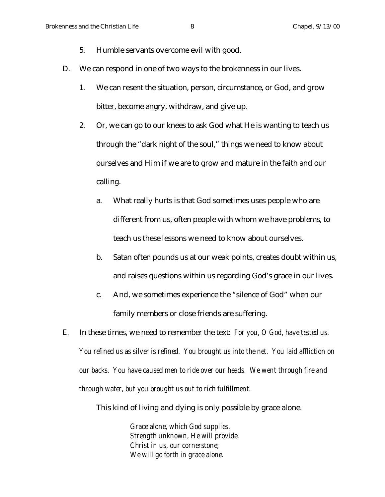- 5. Humble servants overcome evil with good.
- D. We can respond in one of two ways to the brokenness in our lives.
	- 1. We can resent the situation, person, circumstance, or God, and grow bitter, become angry, withdraw, and give up.
	- 2. Or, we can go to our knees to ask God what He is wanting to teach us through the "dark night of the soul," things we need to know about ourselves and Him if we are to grow and mature in the faith and our calling.
		- a. What really hurts is that God sometimes uses people who are different from us, often people with whom we have problems, to teach us these lessons we need to know about ourselves.
		- b. Satan often pounds us at our weak points, creates doubt within us, and raises questions within us regarding God's grace in our lives.
		- c. And, we sometimes experience the "silence of God" when our family members or close friends are suffering.
- E. In these times, we need to remember the text*: For you, O God, have tested us. You refined us as silver is refined. You brought us into the net. You laid affliction on our backs. You have caused men to ride over our heads. We went through fire and through water, but you brought us out to rich fulfillment.*

This kind of living and dying is only possible by grace alone.

*Grace alone, which God supplies, Strength unknown, He will provide. Christ in us, our cornerstone; We will go forth in grace alone.*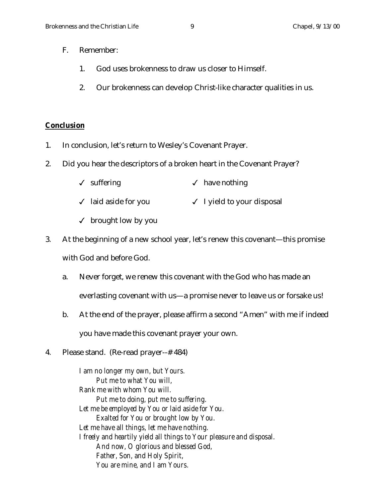- F. Remember:
	- 1. God uses brokenness to draw us closer to Himself.
	- 2. Our brokenness can develop Christ-like character qualities in us.

#### **Conclusion**

- 1. In conclusion, let's return to Wesley's Covenant Prayer.
- 2. Did you hear the descriptors of a broken heart in the Covenant Prayer?
	- $\checkmark$  suffering  $\checkmark$  have nothing
	- √ laid aside for you <br>
	→ I yield to your disposal
	- $\checkmark$  brought low by you
- 3. At the beginning of a new school year, let's renew this covenant—this promise with God and before God.
	- a. Never forget, we renew this covenant with the God who has made an everlasting covenant with us—a promise never to leave us or forsake us!
	- b. At the end of the prayer, please affirm a second "Amen" with me if indeed you have made this covenant prayer your own.
- 4. Please stand. (Re-read prayer--# 484)

*I am no longer my own, but Yours. Put me to what You will, Rank me with whom You will. Put me to doing, put me to suffering. Let me be employed by You or laid aside for You. Exalted for You or brought low by You. Let me have all things, let me have nothing. I freely and heartily yield all things to Your pleasure and disposal. And now, O glorious and blessed God, Father, Son, and Holy Spirit, You are mine, and I am Yours.*